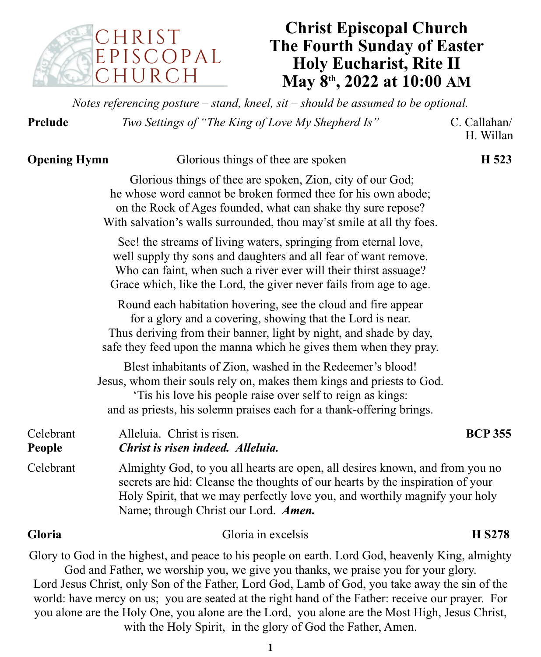

# **Christ Episcopal Church The Fourth Sunday of Easter Holy Eucharist, Rite II May 8th, 2022 at 10:00 AM**

*Notes referencing posture – stand, kneel, sit – should be assumed to be optional.*

**Prelude** *Two Settings of "The King of Love My Shepherd Is"* C. Callahan/

H. Willan

**Opening Hymn** Glorious things of thee are spoken H 523

Glorious things of thee are spoken, Zion, city of our God; he whose word cannot be broken formed thee for his own abode; on the Rock of Ages founded, what can shake thy sure repose? With salvation's walls surrounded, thou may'st smile at all thy foes.

See! the streams of living waters, springing from eternal love, well supply thy sons and daughters and all fear of want remove. Who can faint, when such a river ever will their thirst assuage? Grace which, like the Lord, the giver never fails from age to age.

Round each habitation hovering, see the cloud and fire appear for a glory and a covering, showing that the Lord is near. Thus deriving from their banner, light by night, and shade by day, safe they feed upon the manna which he gives them when they pray.

Blest inhabitants of Zion, washed in the Redeemer's blood! Jesus, whom their souls rely on, makes them kings and priests to God. 'Tis his love his people raise over self to reign as kings: and as priests, his solemn praises each for a thank-offering brings.

| Celebrant<br>People                                                                                                                                                                                                                                                                                | Alleluia. Christ is risen.<br>Christ is risen indeed. Alleluia. | <b>BCP 355</b>            |
|----------------------------------------------------------------------------------------------------------------------------------------------------------------------------------------------------------------------------------------------------------------------------------------------------|-----------------------------------------------------------------|---------------------------|
| Celebrant<br>Almighty God, to you all hearts are open, all desires known, and from you no<br>secrets are hid: Cleanse the thoughts of our hearts by the inspiration of your<br>Holy Spirit, that we may perfectly love you, and worthily magnify your holy<br>Name; through Christ our Lord. Amen. |                                                                 |                           |
| Gloria                                                                                                                                                                                                                                                                                             | Gloria in excelsis                                              | <b>H</b> S <sub>278</sub> |

Glory to God in the highest, and peace to his people on earth. Lord God, heavenly King, almighty

God and Father, we worship you, we give you thanks, we praise you for your glory. Lord Jesus Christ, only Son of the Father, Lord God, Lamb of God, you take away the sin of the world: have mercy on us; you are seated at the right hand of the Father: receive our prayer. For you alone are the Holy One, you alone are the Lord, you alone are the Most High, Jesus Christ, with the Holy Spirit, in the glory of God the Father, Amen.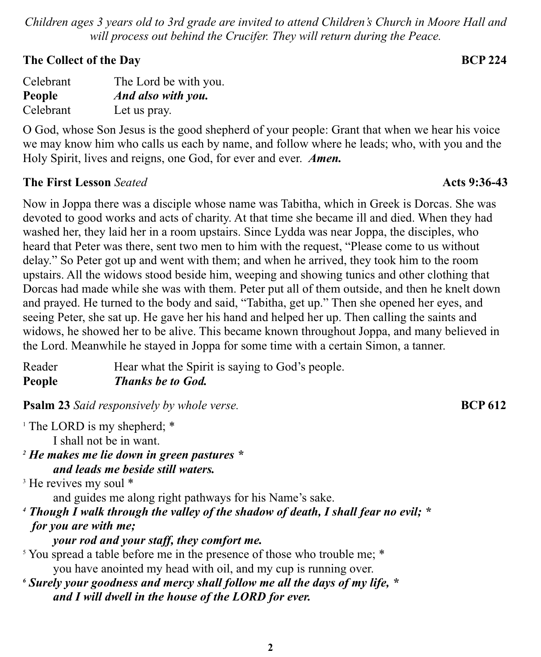*Children ages 3 years old to 3rd grade are invited to attend Children's Church in Moore Hall and will process out behind the Crucifer. They will return during the Peace.*

### **The Collect of the Day BCP 224**

| Celebrant | The Lord be with you. |
|-----------|-----------------------|
| People    | And also with you.    |
| Celebrant | Let us pray.          |

O God, whose Son Jesus is the good shepherd of your people: Grant that when we hear his voice we may know him who calls us each by name, and follow where he leads; who, with you and the Holy Spirit, lives and reigns, one God, for ever and ever. *Amen.*

### **The First Lesson** *Seated* **Acts 9:36-43**

Now in Joppa there was a disciple whose name was Tabitha, which in Greek is Dorcas. She was devoted to good works and acts of charity. At that time she became ill and died. When they had washed her, they laid her in a room upstairs. Since Lydda was near Joppa, the disciples, who heard that Peter was there, sent two men to him with the request, "Please come to us without delay." So Peter got up and went with them; and when he arrived, they took him to the room upstairs. All the widows stood beside him, weeping and showing tunics and other clothing that Dorcas had made while she was with them. Peter put all of them outside, and then he knelt down and prayed. He turned to the body and said, "Tabitha, get up." Then she opened her eyes, and seeing Peter, she sat up. He gave her his hand and helped her up. Then calling the saints and widows, he showed her to be alive. This became known throughout Joppa, and many believed in the Lord. Meanwhile he stayed in Joppa for some time with a certain Simon, a tanner.

Reader Hear what the Spirit is saying to God's people. **People** *Thanks be to God.*

**Psalm 23** *Said responsively by whole verse.* **BCP 612 BCP 612** 

<sup>1</sup> The LORD is my shepherd; \*

I shall not be in want.

*2 He makes me lie down in green pastures \* and leads me beside still waters.*

<sup>3</sup> He revives my soul \*

and guides me along right pathways for his Name's sake.

*4 Though I walk through the valley of the shadow of death, I shall fear no evil; \* for you are with me;*

## *your rod and your staff, they comfort me.*

<sup>5</sup> You spread a table before me in the presence of those who trouble me; \* you have anointed my head with oil, and my cup is running over.

*6 Surely your goodness and mercy shall follow me all the days of my life, \* and I will dwell in the house of the LORD for ever.*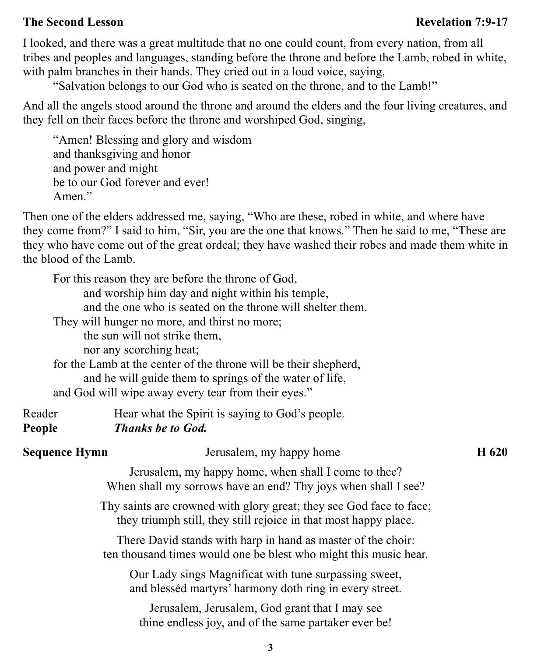#### **The Second Lesson Revelation 7:9-17**

I looked, and there was a great multitude that no one could count, from every nation, from all tribes and peoples and languages, standing before the throne and before the Lamb, robed in white, with palm branches in their hands. They cried out in a loud voice, saying,

"Salvation belongs to our God who is seated on the throne, and to the Lamb!"

And all the angels stood around the throne and around the elders and the four living creatures, and they fell on their faces before the throne and worshiped God, singing,

"Amen! Blessing and glory and wisdom and thanksgiving and honor and power and might be to our God forever and ever! Amen."

Then one of the elders addressed me, saying, "Who are these, robed in white, and where have they come from?" I said to him, "Sir, you are the one that knows." Then he said to me, "These are they who have come out of the great ordeal; they have washed their robes and made them white in the blood of the Lamb.

For this reason they are before the throne of God, and worship him day and night within his temple, and the one who is seated on the throne will shelter them. They will hunger no more, and thirst no more; the sun will not strike them, nor any scorching heat; for the Lamb at the center of the throne will be their shepherd, and he will guide them to springs of the water of life, and God will wipe away every tear from their eyes."

| Reader | Hear what the Spirit is saying to God's people. |
|--------|-------------------------------------------------|
| People | <b>Thanks be to God.</b>                        |

| <b>Sequence Hymn</b> | Jerusalem, my happy home                                                                                                                | H <sub>620</sub> |
|----------------------|-----------------------------------------------------------------------------------------------------------------------------------------|------------------|
|                      | Jerusalem, my happy home, when shall I come to thee?<br>When shall my sorrows have an end? Thy joys when shall I see?                   |                  |
|                      | Thy saints are crowned with glory great; they see God face to face;<br>they triumph still, they still rejoice in that most happy place. |                  |
|                      | There David stands with harp in hand as master of the choir:<br>ten thousand times would one be blest who might this music hear.        |                  |
|                      | Our Lady sings Magnificat with tune surpassing sweet,<br>and blesséd martyrs' harmony doth ring in every street.                        |                  |
|                      | Jerusalem, Jerusalem, God grant that I may see                                                                                          |                  |

thine endless joy, and of the same partaker ever be!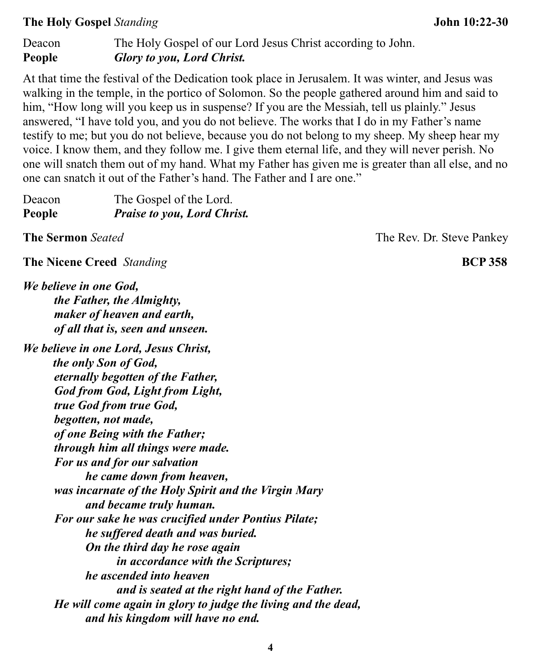#### **The Holy Gospel** *Standing* **John 10:22-30**

Deacon The Holy Gospel of our Lord Jesus Christ according to John. **People** *Glory to you, Lord Christ.*

At that time the festival of the Dedication took place in Jerusalem. It was winter, and Jesus was walking in the temple, in the portico of Solomon. So the people gathered around him and said to him, "How long will you keep us in suspense? If you are the Messiah, tell us plainly." Jesus answered, "I have told you, and you do not believe. The works that I do in my Father's name testify to me; but you do not believe, because you do not belong to my sheep. My sheep hear my voice. I know them, and they follow me. I give them eternal life, and they will never perish. No one will snatch them out of my hand. What my Father has given me is greater than all else, and no one can snatch it out of the Father's hand. The Father and I are one."

| Deacon | The Gospel of the Lord.            |
|--------|------------------------------------|
| People | <b>Praise to you, Lord Christ.</b> |

**The Sermon** *Seated* **The Rev. Dr. Steve Pankey** 

**The Nicene Creed** *Standing* **BCP 358** 

*We believe in one God, the Father, the Almighty, maker of heaven and earth, of all that is, seen and unseen.* 

*We believe in one Lord, Jesus Christ, the only Son of God, eternally begotten of the Father, God from God, Light from Light, true God from true God, begotten, not made, of one Being with the Father; through him all things were made. For us and for our salvation he came down from heaven, was incarnate of the Holy Spirit and the Virgin Mary and became truly human. For our sake he was crucified under Pontius Pilate; he suffered death and was buried. On the third day he rose again in accordance with the Scriptures; he ascended into heaven and is seated at the right hand of the Father. He will come again in glory to judge the living and the dead, and his kingdom will have no end.*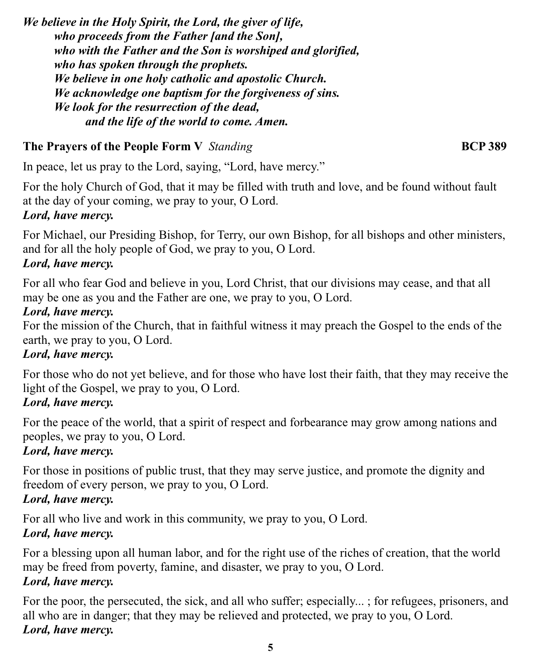*We believe in the Holy Spirit, the Lord, the giver of life, who proceeds from the Father [and the Son], who with the Father and the Son is worshiped and glorified, who has spoken through the prophets. We believe in one holy catholic and apostolic Church. We acknowledge one baptism for the forgiveness of sins. We look for the resurrection of the dead, and the life of the world to come. Amen.* 

## **The Prayers of the People Form V** *Standing* **BCP 389**

In peace, let us pray to the Lord, saying, "Lord, have mercy."

For the holy Church of God, that it may be filled with truth and love, and be found without fault at the day of your coming, we pray to your, O Lord.

## *Lord, have mercy.*

For Michael, our Presiding Bishop, for Terry, our own Bishop, for all bishops and other ministers, and for all the holy people of God, we pray to you, O Lord.

## *Lord, have mercy.*

For all who fear God and believe in you, Lord Christ, that our divisions may cease, and that all may be one as you and the Father are one, we pray to you, O Lord.

## *Lord, have mercy.*

For the mission of the Church, that in faithful witness it may preach the Gospel to the ends of the earth, we pray to you, O Lord.

## *Lord, have mercy.*

For those who do not yet believe, and for those who have lost their faith, that they may receive the light of the Gospel, we pray to you, O Lord.

## *Lord, have mercy.*

For the peace of the world, that a spirit of respect and forbearance may grow among nations and peoples, we pray to you, O Lord.

## *Lord, have mercy.*

For those in positions of public trust, that they may serve justice, and promote the dignity and freedom of every person, we pray to you, O Lord.

## *Lord, have mercy.*

For all who live and work in this community, we pray to you, O Lord. *Lord, have mercy.*

For a blessing upon all human labor, and for the right use of the riches of creation, that the world may be freed from poverty, famine, and disaster, we pray to you, O Lord.

## *Lord, have mercy.*

For the poor, the persecuted, the sick, and all who suffer; especially... ; for refugees, prisoners, and all who are in danger; that they may be relieved and protected, we pray to you, O Lord. *Lord, have mercy.*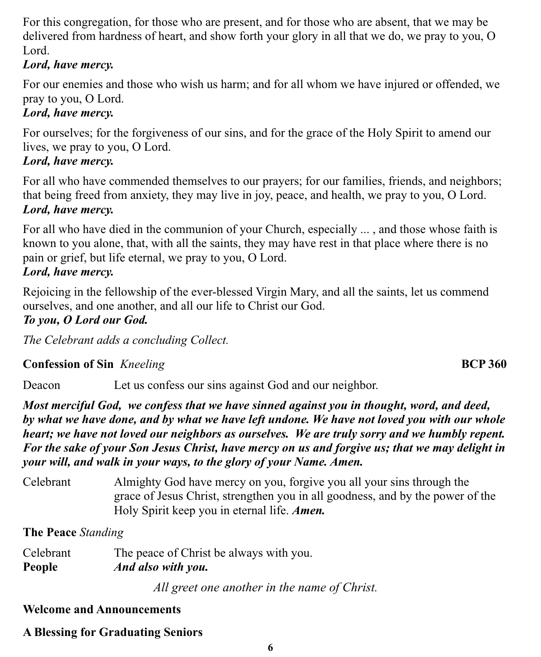For this congregation, for those who are present, and for those who are absent, that we may be delivered from hardness of heart, and show forth your glory in all that we do, we pray to you, O Lord.

## *Lord, have mercy.*

For our enemies and those who wish us harm; and for all whom we have injured or offended, we pray to you, O Lord.

## *Lord, have mercy.*

For ourselves; for the forgiveness of our sins, and for the grace of the Holy Spirit to amend our lives, we pray to you, O Lord.

## *Lord, have mercy.*

For all who have commended themselves to our prayers; for our families, friends, and neighbors; that being freed from anxiety, they may live in joy, peace, and health, we pray to you, O Lord. *Lord, have mercy.*

For all who have died in the communion of your Church, especially ... , and those whose faith is known to you alone, that, with all the saints, they may have rest in that place where there is no pain or grief, but life eternal, we pray to you, O Lord.

## *Lord, have mercy.*

Rejoicing in the fellowship of the ever-blessed Virgin Mary, and all the saints, let us commend ourselves, and one another, and all our life to Christ our God.

## *To you, O Lord our God.*

*The Celebrant adds a concluding Collect.*

## **Confession of Sin** *Kneeling BCP 360*

Deacon Let us confess our sins against God and our neighbor.

*Most merciful God, we confess that we have sinned against you in thought, word, and deed, by what we have done, and by what we have left undone. We have not loved you with our whole heart; we have not loved our neighbors as ourselves. We are truly sorry and we humbly repent. For the sake of your Son Jesus Christ, have mercy on us and forgive us; that we may delight in your will, and walk in your ways, to the glory of your Name. Amen.*

Celebrant Almighty God have mercy on you, forgive you all your sins through the grace of Jesus Christ, strengthen you in all goodness, and by the power of the Holy Spirit keep you in eternal life. *Amen.*

## **The Peace** *Standing*

| Celebrant | The peace of Christ be always with you. |
|-----------|-----------------------------------------|
| People    | And also with you.                      |

*All greet one another in the name of Christ.* 

## **Welcome and Announcements**

## **A Blessing for Graduating Seniors**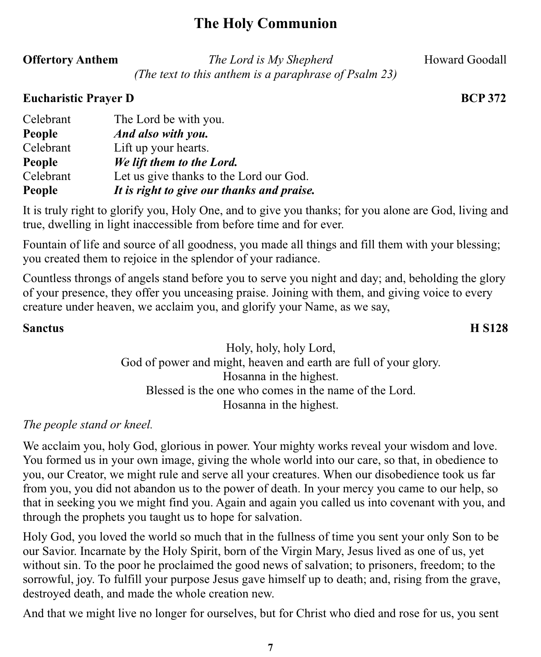# **The Holy Communion**

**Offertory Anthem** *The Lord is My Shepherd* **Howard Goodall** *(The text to this anthem is a paraphrase of Psalm 23)*

#### **Eucharistic Prayer D BCP 372**

| Celebrant | The Lord be with you.                      |
|-----------|--------------------------------------------|
| People    | And also with you.                         |
| Celebrant | Lift up your hearts.                       |
| People    | We lift them to the Lord.                  |
| Celebrant | Let us give thanks to the Lord our God.    |
| People    | It is right to give our thanks and praise. |

It is truly right to glorify you, Holy One, and to give you thanks; for you alone are God, living and true, dwelling in light inaccessible from before time and for ever.

Fountain of life and source of all goodness, you made all things and fill them with your blessing; you created them to rejoice in the splendor of your radiance.

Countless throngs of angels stand before you to serve you night and day; and, beholding the glory of your presence, they offer you unceasing praise. Joining with them, and giving voice to every creature under heaven, we acclaim you, and glorify your Name, as we say,

### **Sanctus H S128**

Holy, holy, holy Lord, God of power and might, heaven and earth are full of your glory. Hosanna in the highest. Blessed is the one who comes in the name of the Lord. Hosanna in the highest.

## *The people stand or kneel.*

We acclaim you, holy God, glorious in power. Your mighty works reveal your wisdom and love. You formed us in your own image, giving the whole world into our care, so that, in obedience to you, our Creator, we might rule and serve all your creatures. When our disobedience took us far from you, you did not abandon us to the power of death. In your mercy you came to our help, so that in seeking you we might find you. Again and again you called us into covenant with you, and through the prophets you taught us to hope for salvation.

Holy God, you loved the world so much that in the fullness of time you sent your only Son to be our Savior. Incarnate by the Holy Spirit, born of the Virgin Mary, Jesus lived as one of us, yet without sin. To the poor he proclaimed the good news of salvation; to prisoners, freedom; to the sorrowful, joy. To fulfill your purpose Jesus gave himself up to death; and, rising from the grave, destroyed death, and made the whole creation new.

And that we might live no longer for ourselves, but for Christ who died and rose for us, you sent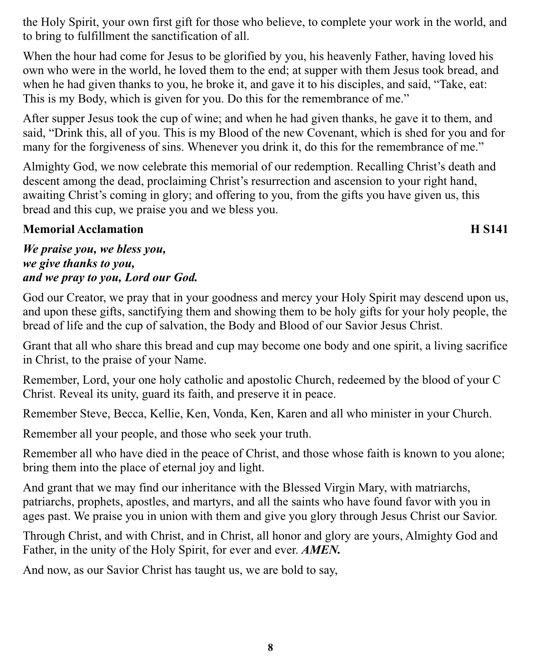the Holy Spirit, your own first gift for those who believe, to complete your work in the world, and to bring to fulfillment the sanctification of all.

When the hour had come for Jesus to be glorified by you, his heavenly Father, having loved his own who were in the world, he loved them to the end; at supper with them Jesus took bread, and when he had given thanks to you, he broke it, and gave it to his disciples, and said, "Take, eat: This is my Body, which is given for you. Do this for the remembrance of me."

After supper Jesus took the cup of wine; and when he had given thanks, he gave it to them, and said, "Drink this, all of you. This is my Blood of the new Covenant, which is shed for you and for many for the forgiveness of sins. Whenever you drink it, do this for the remembrance of me."

Almighty God, we now celebrate this memorial of our redemption. Recalling Christ's death and descent among the dead, proclaiming Christ's resurrection and ascension to your right hand, awaiting Christ's coming in glory; and offering to you, from the gifts you have given us, this bread and this cup, we praise you and we bless you.

## **Memorial Acclamation H** S141

*We praise you, we bless you, we give thanks to you, and we pray to you, Lord our God.*

God our Creator, we pray that in your goodness and mercy your Holy Spirit may descend upon us, and upon these gifts, sanctifying them and showing them to be holy gifts for your holy people, the bread of life and the cup of salvation, the Body and Blood of our Savior Jesus Christ.

Grant that all who share this bread and cup may become one body and one spirit, a living sacrifice in Christ, to the praise of your Name.

Remember, Lord, your one holy catholic and apostolic Church, redeemed by the blood of your C Christ. Reveal its unity, guard its faith, and preserve it in peace.

Remember Steve, Becca, Kellie, Ken, Vonda, Ken, Karen and all who minister in your Church.

Remember all your people, and those who seek your truth.

Remember all who have died in the peace of Christ, and those whose faith is known to you alone; bring them into the place of eternal joy and light.

And grant that we may find our inheritance with the Blessed Virgin Mary, with matriarchs, patriarchs, prophets, apostles, and martyrs, and all the saints who have found favor with you in ages past. We praise you in union with them and give you glory through Jesus Christ our Savior.

Through Christ, and with Christ, and in Christ, all honor and glory are yours, Almighty God and Father, in the unity of the Holy Spirit, for ever and ever. *AMEN.*

And now, as our Savior Christ has taught us, we are bold to say,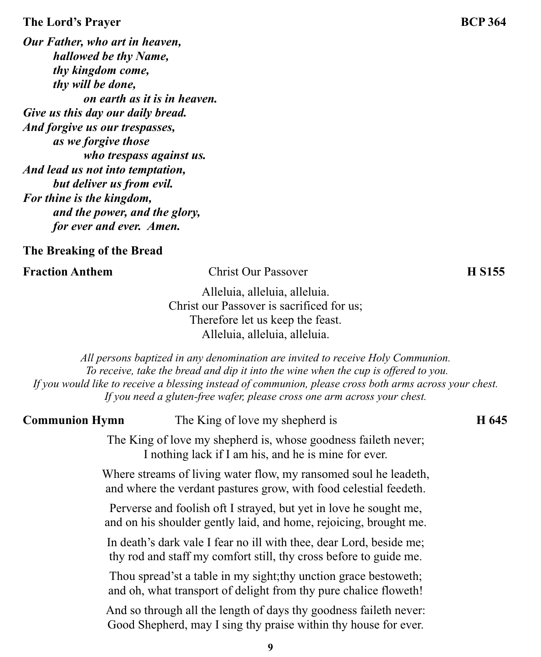#### **The Lord's Prayer BCP 364**

*Our Father, who art in heaven, hallowed be thy Name, thy kingdom come, thy will be done, on earth as it is in heaven. Give us this day our daily bread. And forgive us our trespasses, as we forgive those who trespass against us. And lead us not into temptation, but deliver us from evil. For thine is the kingdom, and the power, and the glory, for ever and ever. Amen.*

#### **The Breaking of the Bread**

**Fraction Anthem Christ Our Passover H S155** 

Alleluia, alleluia, alleluia. Christ our Passover is sacrificed for us; Therefore let us keep the feast. Alleluia, alleluia, alleluia.

*All persons baptized in any denomination are invited to receive Holy Communion. To receive, take the bread and dip it into the wine when the cup is offered to you. If you would like to receive a blessing instead of communion, please cross both arms across your chest. If you need a gluten-free wafer, please cross one arm across your chest.*

**Communion Hymn** The King of love my shepherd is **H 645** 

The King of love my shepherd is, whose goodness faileth never; I nothing lack if I am his, and he is mine for ever.

Where streams of living water flow, my ransomed soul he leadeth, and where the verdant pastures grow, with food celestial feedeth.

Perverse and foolish oft I strayed, but yet in love he sought me, and on his shoulder gently laid, and home, rejoicing, brought me.

In death's dark vale I fear no ill with thee, dear Lord, beside me; thy rod and staff my comfort still, thy cross before to guide me.

Thou spread'st a table in my sight;thy unction grace bestoweth; and oh, what transport of delight from thy pure chalice floweth!

And so through all the length of days thy goodness faileth never: Good Shepherd, may I sing thy praise within thy house for ever.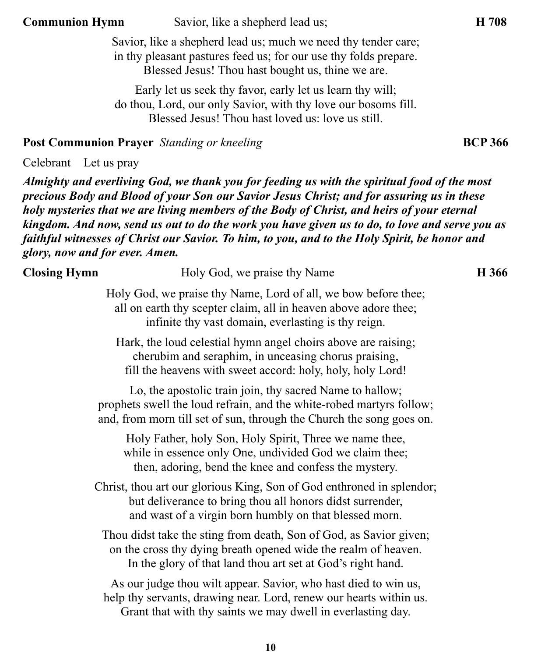**Communion Hymn** Savior, like a shepherd lead us; **H** 708

Savior, like a shepherd lead us; much we need thy tender care; in thy pleasant pastures feed us; for our use thy folds prepare. Blessed Jesus! Thou hast bought us, thine we are.

Early let us seek thy favor, early let us learn thy will; do thou, Lord, our only Savior, with thy love our bosoms fill. Blessed Jesus! Thou hast loved us: love us still.

## **Post Communion Prayer** *Standing or kneeling* **BCP 366**

Celebrant Let us pray

*Almighty and everliving God, we thank you for feeding us with the spiritual food of the most precious Body and Blood of your Son our Savior Jesus Christ; and for assuring us in these holy mysteries that we are living members of the Body of Christ, and heirs of your eternal kingdom. And now, send us out to do the work you have given us to do, to love and serve you as faithful witnesses of Christ our Savior. To him, to you, and to the Holy Spirit, be honor and glory, now and for ever. Amen.*

**Closing Hymn Holy God, we praise thy Name <b>H** 366

Holy God, we praise thy Name, Lord of all, we bow before thee; all on earth thy scepter claim, all in heaven above adore thee; infinite thy vast domain, everlasting is thy reign.

Hark, the loud celestial hymn angel choirs above are raising; cherubim and seraphim, in unceasing chorus praising, fill the heavens with sweet accord: holy, holy, holy Lord!

Lo, the apostolic train join, thy sacred Name to hallow; prophets swell the loud refrain, and the white-robed martyrs follow; and, from morn till set of sun, through the Church the song goes on.

Holy Father, holy Son, Holy Spirit, Three we name thee, while in essence only One, undivided God we claim thee; then, adoring, bend the knee and confess the mystery.

Christ, thou art our glorious King, Son of God enthroned in splendor; but deliverance to bring thou all honors didst surrender, and wast of a virgin born humbly on that blessed morn.

Thou didst take the sting from death, Son of God, as Savior given; on the cross thy dying breath opened wide the realm of heaven. In the glory of that land thou art set at God's right hand.

As our judge thou wilt appear. Savior, who hast died to win us, help thy servants, drawing near. Lord, renew our hearts within us. Grant that with thy saints we may dwell in everlasting day.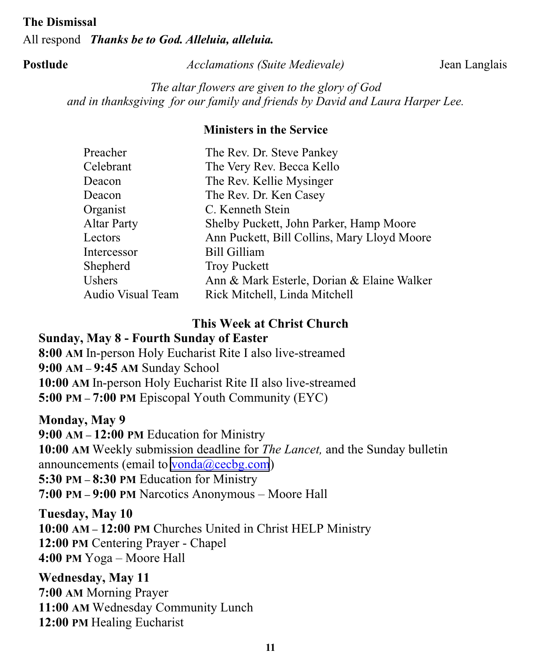#### **The Dismissal**

All respond *Thanks be to God. Alleluia, alleluia.* 

**Postlude** *Acclamations (Suite Medievale)* Jean Langlais

*The altar flowers are given to the glory of God and in thanksgiving for our family and friends by David and Laura Harper Lee.*

#### **Ministers in the Service**

| Preacher           | The Rev. Dr. Steve Pankey                   |
|--------------------|---------------------------------------------|
| Celebrant          | The Very Rev. Becca Kello                   |
| Deacon             | The Rev. Kellie Mysinger                    |
| Deacon             | The Rev. Dr. Ken Casey                      |
| Organist           | C. Kenneth Stein                            |
| <b>Altar Party</b> | Shelby Puckett, John Parker, Hamp Moore     |
| Lectors            | Ann Puckett, Bill Collins, Mary Lloyd Moore |
| Intercessor        | <b>Bill Gilliam</b>                         |
| Shepherd           | <b>Troy Puckett</b>                         |
| Ushers             | Ann & Mark Esterle, Dorian & Elaine Walker  |
| Audio Visual Team  | Rick Mitchell, Linda Mitchell               |

### **This Week at Christ Church**

#### **Sunday, May 8 - Fourth Sunday of Easter**

**8:00 AM** In-person Holy Eucharist Rite I also live-streamed **9:00 AM – 9:45 AM** Sunday School **10:00 AM** In-person Holy Eucharist Rite II also live-streamed **5:00 PM – 7:00 PM** Episcopal Youth Community (EYC)

### **Monday, May 9**

**9:00 AM – 12:00 PM** Education for Ministry **10:00 AM** Weekly submission deadline for *The Lancet,* and the Sunday bulletin announcements (email to  $vonda(\theta, cechg.com)$ ) **5:30 PM – 8:30 PM** Education for Ministry **7:00 PM – 9:00 PM** Narcotics Anonymous – Moore Hall

### **Tuesday, May 10**

**10:00 AM – 12:00 PM** Churches United in Christ HELP Ministry **12:00 PM** Centering Prayer - Chapel **4:00 PM** Yoga – Moore Hall

### **Wednesday, May 11 7:00 AM** Morning Prayer

**11:00 AM** Wednesday Community Lunch **12:00 PM** Healing Eucharist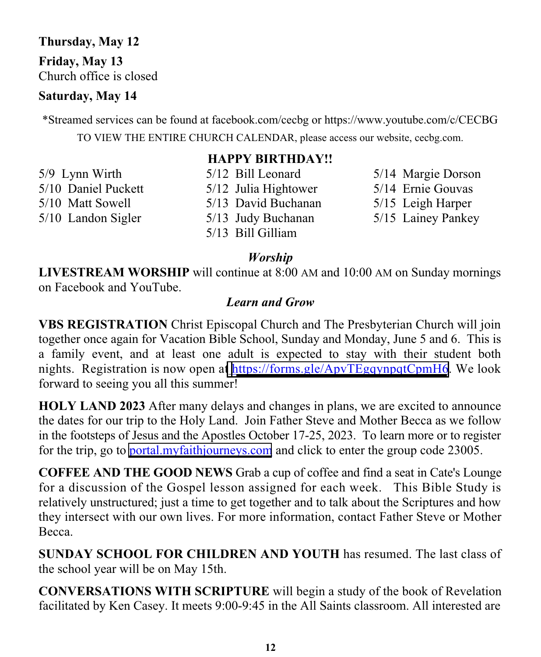## **Thursday, May 12**

**Friday, May 13**  Church office is closed

## **Saturday, May 14**

\*Streamed services can be found at facebook.com/cecbg or https://www.youtube.com/c/CECBG TO VIEW THE ENTIRE CHURCH CALENDAR, please access our website, cecbg.com.

5/9 Lynn Wirth 5/10 Daniel Puckett 5/10 Matt Sowell 5/10 Landon Sigler

### **HAPPY BIRTHDAY!!**

5/12 Bill Leonard 5/12 Julia Hightower 5/13 David Buchanan 5/13 Judy Buchanan 5/13 Bill Gilliam

5/14 Margie Dorson

5/14 Ernie Gouvas

5/15 Leigh Harper

5/15 Lainey Pankey

## *Worship*

**LIVESTREAM WORSHIP** will continue at 8:00 AM and 10:00 AM on Sunday mornings on Facebook and YouTube.

### *Learn and Grow*

**VBS REGISTRATION** Christ Episcopal Church and The Presbyterian Church will join together once again for Vacation Bible School, Sunday and Monday, June 5 and 6. This is a family event, and at least one adult is expected to stay with their student both nigh[t](https://forms.gle/ApvTEgqynpqtCpmH6)s. Registration is now open at <https://forms.gle/ApvTEgqynpqtCpmH6>. We look forward to seeing you all this summer!

**HOLY LAND 2023** After many delays and changes in plans, we are excited to announce the dates for our trip to the Holy Land. Join Father Steve and Mother Becca as we follow in the footsteps of Jesus and the Apostles October 17-25, 2023. To learn more or to register for the trip, go to [portal.myfaithjourneys.com](http://portal.myfaithjourneys.com/) and click to enter the group code 23005.

**COFFEE AND THE GOOD NEWS** Grab a cup of coffee and find a seat in Cate's Lounge for a discussion of the Gospel lesson assigned for each week. This Bible Study is relatively unstructured; just a time to get together and to talk about the Scriptures and how they intersect with our own lives. For more information, contact Father Steve or Mother Becca.

**SUNDAY SCHOOL FOR CHILDREN AND YOUTH** has resumed. The last class of the school year will be on May 15th.

**CONVERSATIONS WITH SCRIPTURE** will begin a study of the book of Revelation facilitated by Ken Casey. It meets 9:00-9:45 in the All Saints classroom. All interested are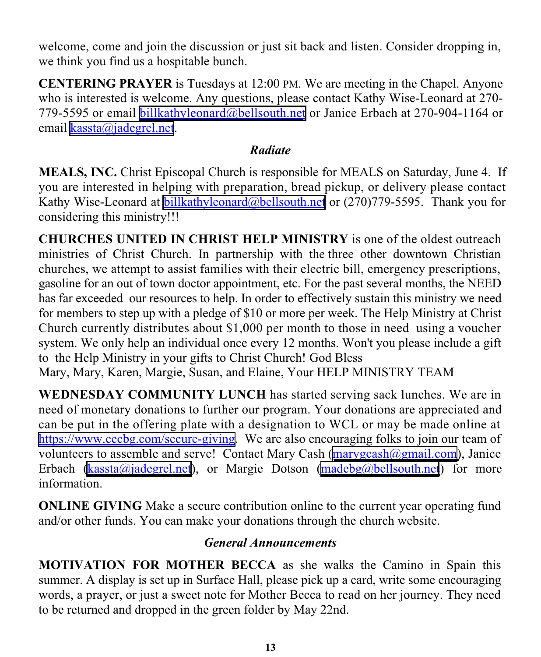welcome, come and join the discussion or just sit back and listen. Consider dropping in, we think you find us a hospitable bunch.

**CENTERING PRAYER** is Tuesdays at 12:00 PM. We are meeting in the Chapel. Anyone who is interested is welcome. Any questions, please contact Kathy Wise-Leonard at 270- 779-5595 or email [billkathyleonard@bellsouth.net](mailto:billkathyleonard@bellsouth.net) or Janice Erbach at 270-904-1164 or email [kassta@jadegrel.net](mailto:kassta@jadegrel.net).

## *Radiate*

**MEALS, INC.** Christ Episcopal Church is responsible for MEALS on Saturday, June 4. If you are interested in helping with preparation, bread pickup, or delivery please contact Kathy Wise-Leonard at [billkathyleonard@bellsouth.net](mailto:billkathyleonard@bellsouth.net) or (270)779-5595. Thank you for considering this ministry!!!

**CHURCHES UNITED IN CHRIST HELP MINISTRY** is one of the oldest outreach ministries of Christ Church. In partnership with the three other downtown Christian churches, we attempt to assist families with their electric bill, emergency prescriptions, gasoline for an out of town doctor appointment, etc. For the past several months, the NEED has far exceeded our resources to help. In order to effectively sustain this ministry we need for members to step up with a pledge of \$10 or more per week. The Help Ministry at Christ Church currently distributes about \$1,000 per month to those in need using a voucher system. We only help an individual once every 12 months. Won't you please include a gift to the Help Ministry in your gifts to Christ Church! God Bless

Mary, Mary, Karen, Margie, Susan, and Elaine, Your HELP MINISTRY TEAM

**WEDNESDAY COMMUNITY LUNCH** has started serving sack lunches. We are in need of monetary donations to further our program. Your donations are appreciated and can be put in the offering plate with a designation to WCL or may be made online at <https://www.cecbg.com/secure-giving>. We are also encouraging folks to join our team of volunteers to assemble and serve! Contact Mary Cash ([marygcash@gmail.com\)](mailto:marygcash@gmail.com), Janice Erbach ( $k$ assta@jadegrel.net), or Margie Dotson ( $m$ adebg@bellsouth.net) for more information.

**ONLINE GIVING** Make a secure contribution online to the current year operating fund and/or other funds. You can make your donations through the church website.

## *General Announcements*

**MOTIVATION FOR MOTHER BECCA** as she walks the Camino in Spain this summer. A display is set up in Surface Hall, please pick up a card, write some encouraging words, a prayer, or just a sweet note for Mother Becca to read on her journey. They need to be returned and dropped in the green folder by May 22nd.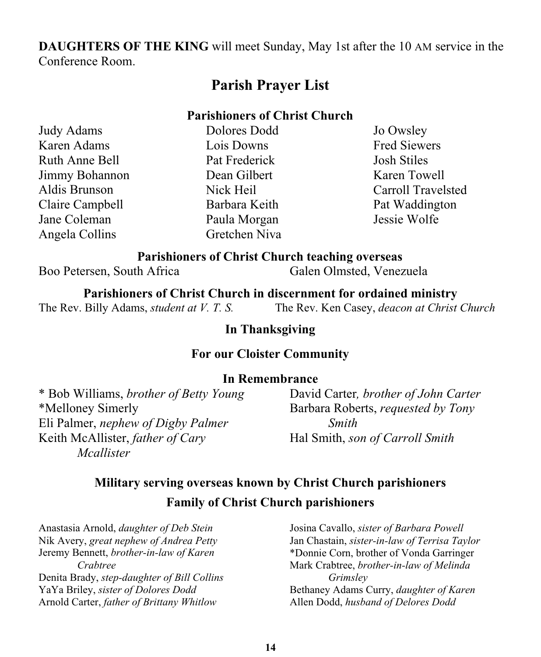**DAUGHTERS OF THE KING** will meet Sunday, May 1st after the 10 AM service in the Conference Room.

# **Parish Prayer List**

#### **Parishioners of Christ Church**

Judy Adams Karen Adams Ruth Anne Bell Jimmy Bohannon Aldis Brunson Claire Campbell Jane Coleman Angela Collins

Dolores Dodd Lois Downs Pat Frederick Dean Gilbert Nick Heil Barbara Keith Paula Morgan Gretchen Niva

Jo Owsley Fred Siewers Josh Stiles Karen Towell Carroll Travelsted Pat Waddington Jessie Wolfe

#### **Parishioners of Christ Church teaching overseas**

Boo Petersen, South Africa Galen Olmsted, Venezuela

**Parishioners of Christ Church in discernment for ordained ministry** 

The Rev. Billy Adams, *student at V. T. S.* The Rev. Ken Casey, *deacon at Christ Church* 

### **In Thanksgiving**

#### **For our Cloister Community**

#### **In Remembrance**

\* Bob Williams, *brother of Betty Young* \*Melloney Simerly Eli Palmer, *nephew of Digby Palmer* Keith McAllister, *father of Cary Mcallister* 

David Carter*, brother of John Carter*  Barbara Roberts, *requested by Tony Smith*  Hal Smith, *son of Carroll Smith*

# **Military serving overseas known by Christ Church parishioners Family of Christ Church parishioners**

Anastasia Arnold, *daughter of Deb Stein*  Nik Avery, *great nephew of Andrea Petty*  Jeremy Bennett, *brother-in-law of Karen Crabtree*  Denita Brady, *step-daughter of Bill Collins*  YaYa Briley, *sister of Dolores Dodd*  Arnold Carter, *father of Brittany Whitlow* 

Josina Cavallo, *sister of Barbara Powell*  Jan Chastain, *sister-in-law of Terrisa Taylor*  \*Donnie Corn, brother of Vonda Garringer Mark Crabtree, *brother-in-law of Melinda Grimsley*  Bethaney Adams Curry, *daughter of Karen*  Allen Dodd, *husband of Delores Dodd*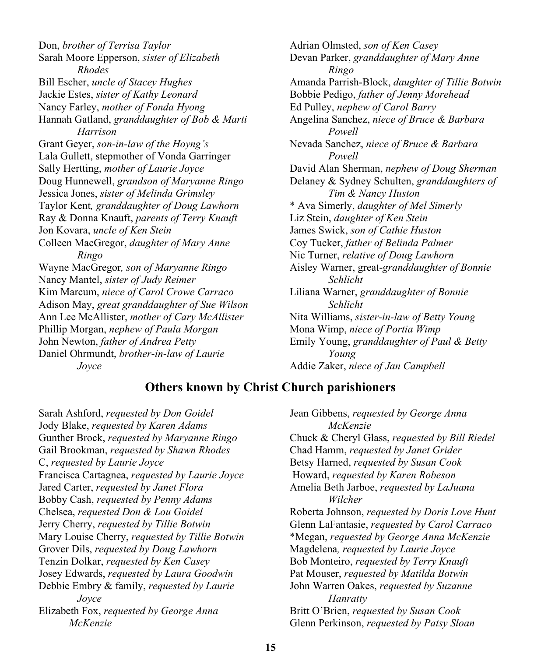Don, *brother of Terrisa Taylor*  Sarah Moore Epperson, *sister of Elizabeth Rhodes*  Bill Escher, *uncle of Stacey Hughes*  Jackie Estes, *sister of Kathy Leonard*  Nancy Farley, *mother of Fonda Hyong*  Hannah Gatland, *granddaughter of Bob & Marti Harrison*  Grant Geyer, *son-in-law of the Hoyng's*  Lala Gullett, stepmother of Vonda Garringer Sally Hertting, *mother of Laurie Joyce*  Doug Hunnewell, *grandson of Maryanne Ringo*  Jessica Jones, *sister of Melinda Grimsley*  Taylor Kent*, granddaughter of Doug Lawhorn* Ray & Donna Knauft, *parents of Terry Knauft*  Jon Kovara, *uncle of Ken Stein*  Colleen MacGregor, *daughter of Mary Anne Ringo*  Wayne MacGregor*, son of Maryanne Ringo* Nancy Mantel, *sister of Judy Reimer* Kim Marcum, *niece of Carol Crowe Carraco*  Adison May, *great granddaughter of Sue Wilson*  Ann Lee McAllister, *mother of Cary McAllister*  Phillip Morgan, *nephew of Paula Morgan*  John Newton, *father of Andrea Petty*  Daniel Ohrmundt, *brother-in-law of Laurie Joyce* 

Adrian Olmsted, *son of Ken Casey*  Devan Parker, *granddaughter of Mary Anne Ringo*  Amanda Parrish-Block, *daughter of Tillie Botwin*  Bobbie Pedigo, *father of Jenny Morehead*  Ed Pulley, *nephew of Carol Barry*  Angelina Sanchez, *niece of Bruce & Barbara Powell*  Nevada Sanchez, *niece of Bruce & Barbara Powell* David Alan Sherman, *nephew of Doug Sherman* Delaney & Sydney Schulten, *granddaughters of Tim & Nancy Huston*  \* Ava Simerly, *daughter of Mel Simerly*  Liz Stein, *daughter of Ken Stein*  James Swick, *son of Cathie Huston*  Coy Tucker, *father of Belinda Palmer*  Nic Turner, *relative of Doug Lawhorn* Aisley Warner, great-*granddaughter of Bonnie Schlicht* Liliana Warner, *granddaughter of Bonnie Schlicht*  Nita Williams, *sister-in-law of Betty Young*  Mona Wimp, *niece of Portia Wimp*  Emily Young, *granddaughter of Paul & Betty Young* Addie Zaker, *niece of Jan Campbell* 

## **Others known by Christ Church parishioners**

Sarah Ashford, *requested by Don Goidel*  Jody Blake, *requested by Karen Adams* Gunther Brock, *requested by Maryanne Ringo*  Gail Brookman, *requested by Shawn Rhodes*  C, *requested by Laurie Joyce* Francisca Cartagnea, *requested by Laurie Joyce* Jared Carter, *requested by Janet Flora*  Bobby Cash, *requested by Penny Adams* Chelsea, *requested Don & Lou Goidel* Jerry Cherry, *requested by Tillie Botwin* Mary Louise Cherry, *requested by Tillie Botwin* Grover Dils, *requested by Doug Lawhorn*  Tenzin Dolkar, *requested by Ken Casey*  Josey Edwards, *requested by Laura Goodwin*  Debbie Embry & family, *requested by Laurie Joyce*  Elizabeth Fox, *requested by George Anna McKenzie*

Jean Gibbens, *requested by George Anna McKenzie*  Chuck & Cheryl Glass, *requested by Bill Riedel*  Chad Hamm, *requested by Janet Grider*  Betsy Harned, *requested by Susan Cook* Howard, *requested by Karen Robeson*  Amelia Beth Jarboe, *requested by LaJuana Wilcher*  Roberta Johnson, *requested by Doris Love Hunt* Glenn LaFantasie, *requested by Carol Carraco*  \*Megan, *requested by George Anna McKenzie*  Magdelena*, requested by Laurie Joyce*  Bob Monteiro, *requested by Terry Knauft*  Pat Mouser, *requested by Matilda Botwin* John Warren Oakes, *requested by Suzanne Hanratty*  Britt O'Brien, *requested by Susan Cook*  Glenn Perkinson, *requested by Patsy Sloan*